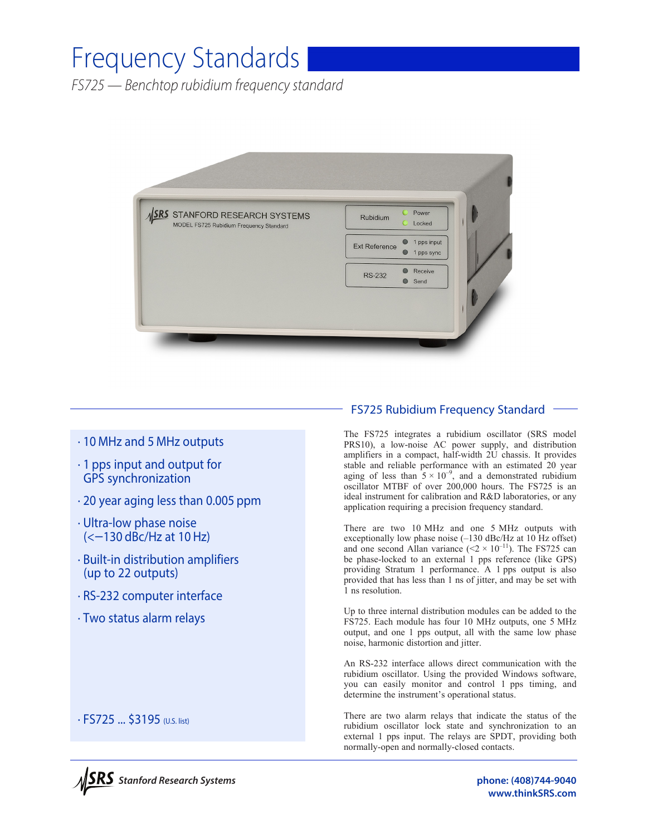# Frequency Standards

*FS725 — Benchtop rubidium frequency standard* 



## · 10 MHz and 5 MHz outputs

- · 1 pps input and output for GPS synchronization
- · 20 year aging less than 0.005 ppm
- · Ultra-low phase noise (<−130 dBc/Hz at 10 Hz)
- · Built-in distribution amplifiers (up to 22 outputs)
- · RS-232 computer interface
- · Two status alarm relays

### FS725 Rubidium Frequency Standard

The FS725 integrates a rubidium oscillator (SRS model PRS10), a low-noise AC power supply, and distribution amplifiers in a compact, half-width 2U chassis. It provides stable and reliable performance with an estimated 20 year aging of less than  $5 \times 10^{-9}$ , and a demonstrated rubidium oscillator MTBF of over 200,000 hours. The FS725 is an ideal instrument for calibration and R&D laboratories, or any application requiring a precision frequency standard.

There are two 10 MHz and one 5 MHz outputs with exceptionally low phase noise (–130 dBc/Hz at 10 Hz offset) and one second Allan variance  $(< 2 \times 10^{-11})$ . The FS725 can be phase-locked to an external 1 pps reference (like GPS) providing Stratum 1 performance. A 1 pps output is also provided that has less than 1 ns of jitter, and may be set with 1 ns resolution.

Up to three internal distribution modules can be added to the FS725. Each module has four 10 MHz outputs, one 5 MHz output, and one 1 pps output, all with the same low phase noise, harmonic distortion and jitter.

An RS-232 interface allows direct communication with the rubidium oscillator. Using the provided Windows software, you can easily monitor and control 1 pps timing, and determine the instrument's operational status.

There are two alarm relays that indicate the status of the rubidium oscillator lock state and synchronization to an external 1 pps input. The relays are SPDT, providing both normally-open and normally-closed contacts.



· FS725 ... \$3195 (U.S. list)